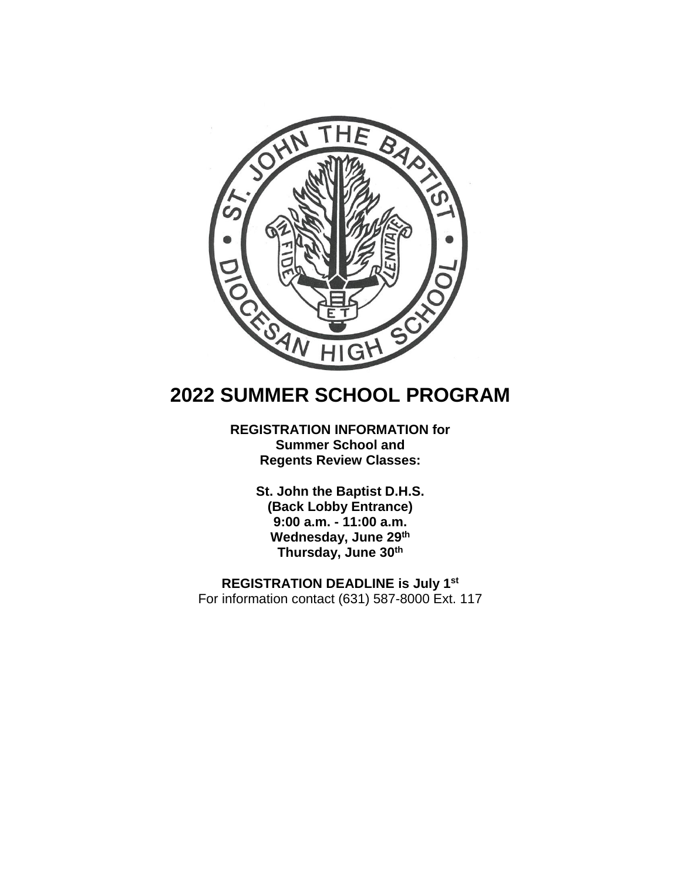

# **2022 SUMMER SCHOOL PROGRAM**

# **REGISTRATION INFORMATION for Summer School and Regents Review Classes:**

**St. John the Baptist D.H.S. (Back Lobby Entrance) 9:00 a.m. - 11:00 a.m. Wednesday, June 29th Thursday, June 30th**

**REGISTRATION DEADLINE is July 1st** For information contact (631) 587-8000 Ext. 117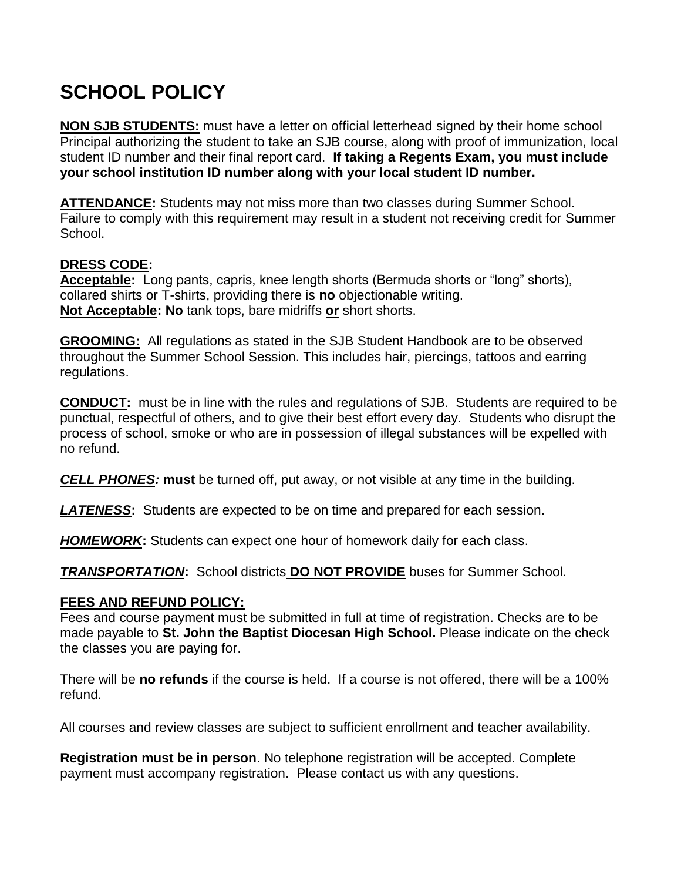# **SCHOOL POLICY**

**NON SJB STUDENTS:** must have a letter on official letterhead signed by their home school Principal authorizing the student to take an SJB course, along with proof of immunization, local student ID number and their final report card. **If taking a Regents Exam, you must include your school institution ID number along with your local student ID number.**

**ATTENDANCE:** Students may not miss more than two classes during Summer School. Failure to comply with this requirement may result in a student not receiving credit for Summer School.

# **DRESS CODE:**

**Acceptable:** Long pants, capris, knee length shorts (Bermuda shorts or "long" shorts), collared shirts or T-shirts, providing there is **no** objectionable writing. **Not Acceptable: No** tank tops, bare midriffs **or** short shorts.

**GROOMING:**All regulations as stated in the SJB Student Handbook are to be observed throughout the Summer School Session. This includes hair, piercings, tattoos and earring regulations.

**CONDUCT:** must be in line with the rules and regulations of SJB. Students are required to be punctual, respectful of others, and to give their best effort every day. Students who disrupt the process of school, smoke or who are in possession of illegal substances will be expelled with no refund.

*CELL PHONES:* **must** be turned off, put away, or not visible at any time in the building.

*LATENESS***:** Students are expected to be on time and prepared for each session.

*HOMEWORK***:** Students can expect one hour of homework daily for each class.

*TRANSPORTATION***:** School districts **DO NOT PROVIDE** buses for Summer School.

# **FEES AND REFUND POLICY:**

Fees and course payment must be submitted in full at time of registration. Checks are to be made payable to **St. John the Baptist Diocesan High School.** Please indicate on the check the classes you are paying for.

There will be **no refunds** if the course is held. If a course is not offered, there will be a 100% refund.

All courses and review classes are subject to sufficient enrollment and teacher availability.

**Registration must be in person**. No telephone registration will be accepted. Complete payment must accompany registration. Please contact us with any questions.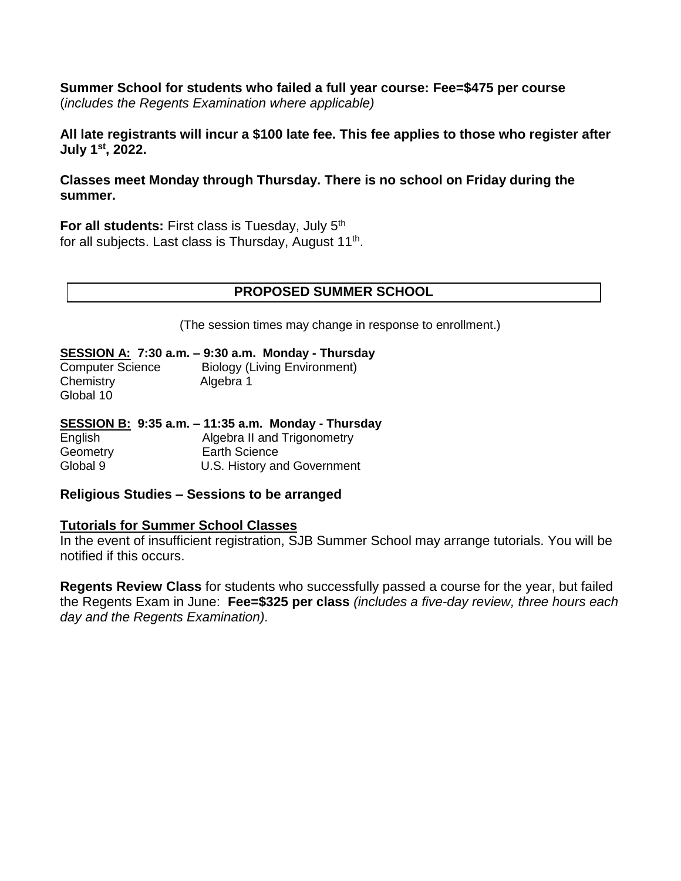**Summer School for students who failed a full year course: Fee=\$475 per course** (*includes the Regents Examination where applicable)* 

**All late registrants will incur a \$100 late fee. This fee applies to those who register after July 1st, 2022.**

**Classes meet Monday through Thursday. There is no school on Friday during the summer.**

**For all students:** First class is Tuesday, July 5th for all subjects. Last class is Thursday, August 11<sup>th</sup>.

## **PROPOSED SUMMER SCHOOL**

(The session times may change in response to enrollment.)

#### **SESSION A: 7:30 a.m. – 9:30 a.m. Monday - Thursday**

| <b>Computer Science</b> | <b>Biology (Living Environment)</b> |
|-------------------------|-------------------------------------|
| Chemistry               | Algebra 1                           |
| Global 10               |                                     |

|          | SESSION B: 9:35 a.m. - 11:35 a.m. Monday - Thursday |
|----------|-----------------------------------------------------|
| English  | Algebra II and Trigonometry                         |
| Geometry | Earth Science                                       |
| Global 9 | U.S. History and Government                         |

## **Religious Studies – Sessions to be arranged**

## **Tutorials for Summer School Classes**

In the event of insufficient registration, SJB Summer School may arrange tutorials. You will be notified if this occurs.

**Regents Review Class** for students who successfully passed a course for the year, but failed the Regents Exam in June: **Fee=\$325 per class** *(includes a five-day review, three hours each day and the Regents Examination).*